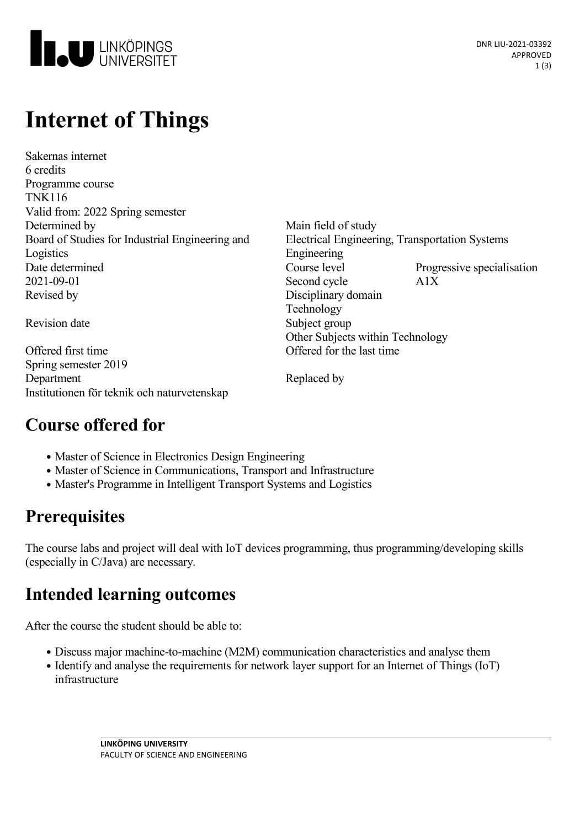

# **Internet of Things**

Sakernas internet 6 credits Programme course TNK116 Valid from: 2022 Spring semester Determined by Main field of study Board of Studies for Industrial Engineering and Logistics 2021-09-01 Second cycle A1X Revised by Disciplinary domain

Offered first time Offered for the last time Spring semester 2019 Department Replaced by Institutionen för teknik och naturvetenskap

Electrical Engineering, Transportation Systems Engineering Date determined Course level Progressive specialisation Technology Revision date Subject group Other Subjects within Technology

#### **Course offered for**

- Master of Science in Electronics Design Engineering
- Master of Science in Communications, Transport and Infrastructure
- Master's Programme in Intelligent Transport Systems and Logistics

#### **Prerequisites**

The course labs and project will deal with IoT devices programming, thus programming/developing skills (especially in C/Java) are necessary.

#### **Intended learning outcomes**

After the course the student should be able to:

- Discuss major machine-to-machine (M2M) communication characteristics and analyse them
- Identify and analyse the requirements for network layer support for an Internet of Things (IoT) infrastructure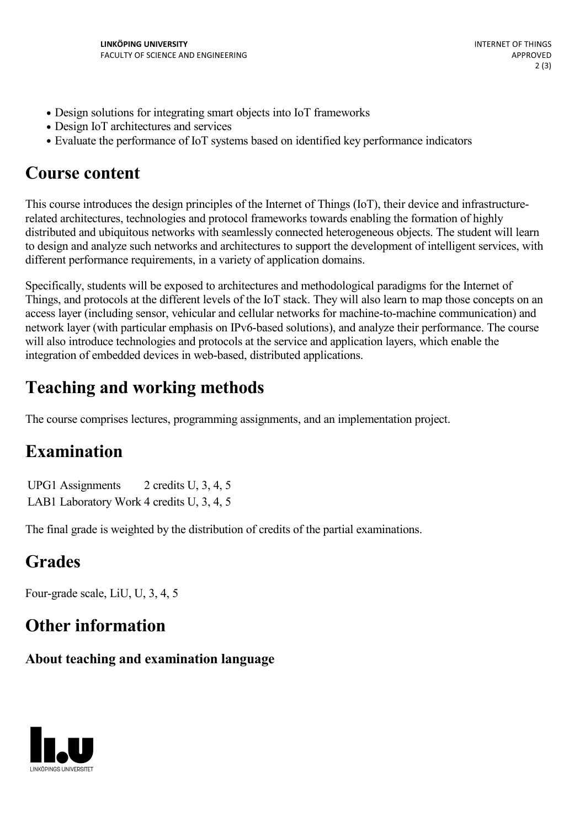- Design solutions for integrating smart objects into IoT frameworks
- Design IoT architectures and services
- Evaluate the performance of IoT systems based on identified key performance indicators

#### **Course content**

This course introduces the design principles of the Internet of Things (IoT), their device and infrastructurerelated architectures, technologies and protocol frameworks towards enabling the formation of highly distributed and ubiquitous networks with seamlessly connected heterogeneous objects. The student will learn to design and analyze such networks and architectures to support the development of intelligent services, with different performance requirements, in a variety of application domains.

Specifically, students will be exposed to architectures and methodological paradigms for the Internet of Things, and protocols at the different levels of the IoT stack. They will also learn to map those concepts on an access layer (including sensor, vehicular and cellular networks for machine-to-machine communication) and network layer (with particular emphasis on IPv6-based solutions), and analyze their performance. The course will also introduce technologies and protocols at the service and application layers, which enable the integration of embedded devices in web-based, distributed applications.

## **Teaching and working methods**

The course comprises lectures, programming assignments, and an implementation project.

#### **Examination**

UPG1 Assignments 2 credits U, 3, 4, 5 LAB1 Laboratory Work 4 credits U, 3, 4, 5

The final grade is weighted by the distribution of credits of the partial examinations.

## **Grades**

Four-grade scale, LiU, U, 3, 4, 5

#### **Other information**

#### **About teaching and examination language**